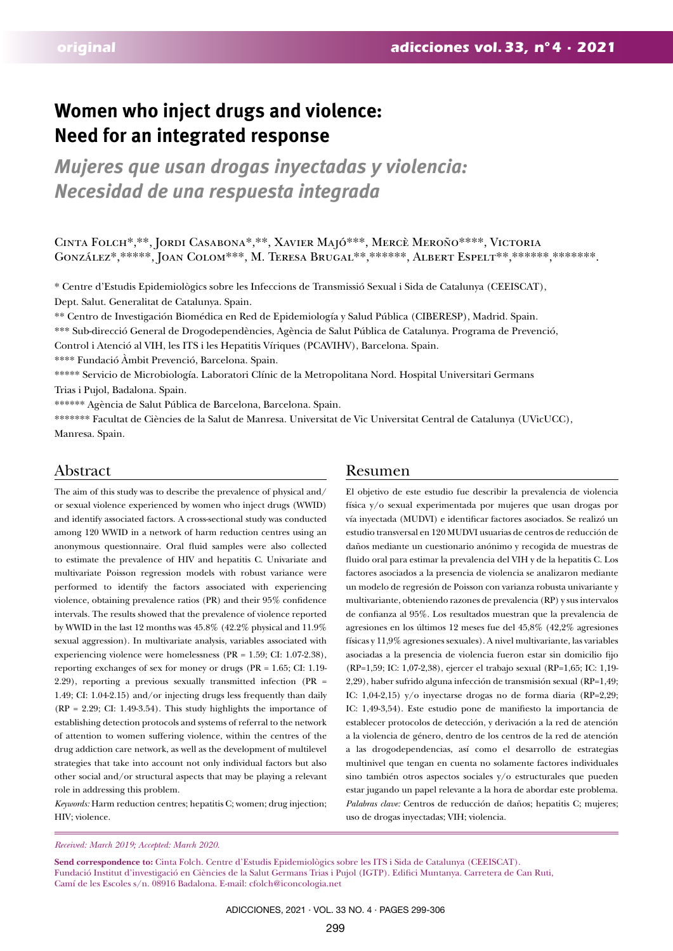# **Women who inject drugs and violence: Need for an integrated response**

*Mujeres que usan drogas inyectadas y violencia: Necesidad de una respuesta integrada*

Cinta Folch\*,\*\*, Jordi Casabona\*,\*\*, Xavier Majó\*\*\*, Mercè Meroño\*\*\*\*, Victoria GONZÁLEZ\*,\*\*\*\*\*, JOAN COLOM\*\*\*, M. TERESA BRUGAL\*\*,\*\*\*\*\*\*, ALBERT ESPELT\*\*,\*\*\*\*\*\*\*,\*\*\*\*\*\*\*.

\* Centre d'Estudis Epidemiològics sobre les Infeccions de Transmissió Sexual i Sida de Catalunya (CEEISCAT), Dept. Salut. Generalitat de Catalunya. Spain.

\*\* Centro de Investigación Biomédica en Red de Epidemiología y Salud Pública (CIBERESP), Madrid. Spain.

\*\*\* Sub-direcció General de Drogodependències, Agència de Salut Pública de Catalunya. Programa de Prevenció,

Control i Atenció al VIH, les ITS i les Hepatitis Víriques (PCAVIHV), Barcelona. Spain.

\*\*\*\* Fundació Àmbit Prevenció, Barcelona. Spain.

\*\*\*\*\* Servicio de Microbiología. Laboratori Clínic de la Metropolitana Nord. Hospital Universitari Germans Trias i Pujol, Badalona. Spain.

\*\*\*\*\*\* Agència de Salut Pública de Barcelona, Barcelona. Spain.

\*\*\*\*\*\*\* Facultat de Ciències de la Salut de Manresa. Universitat de Vic Universitat Central de Catalunya (UVicUCC), Manresa. Spain.

The aim of this study was to describe the prevalence of physical and/ or sexual violence experienced by women who inject drugs (WWID) and identify associated factors. A cross-sectional study was conducted among 120 WWID in a network of harm reduction centres using an anonymous questionnaire. Oral fluid samples were also collected to estimate the prevalence of HIV and hepatitis C. Univariate and multivariate Poisson regression models with robust variance were performed to identify the factors associated with experiencing violence, obtaining prevalence ratios (PR) and their 95% confidence intervals. The results showed that the prevalence of violence reported by WWID in the last 12 months was 45.8% (42.2% physical and 11.9% sexual aggression). In multivariate analysis, variables associated with experiencing violence were homelessness (PR = 1.59; CI: 1.07-2.38), reporting exchanges of sex for money or drugs (PR = 1.65; CI: 1.19- 2.29), reporting a previous sexually transmitted infection (PR = 1.49; CI: 1.04-2.15) and/or injecting drugs less frequently than daily (RP = 2.29; CI: 1.49-3.54). This study highlights the importance of establishing detection protocols and systems of referral to the network of attention to women suffering violence, within the centres of the drug addiction care network, as well as the development of multilevel strategies that take into account not only individual factors but also other social and/or structural aspects that may be playing a relevant role in addressing this problem.

*Keywords:* Harm reduction centres; hepatitis C; women; drug injection; HIV; violence.

# Abstract Resumen

El objetivo de este estudio fue describir la prevalencia de violencia física y/o sexual experimentada por mujeres que usan drogas por vía inyectada (MUDVI) e identificar factores asociados. Se realizó un estudio transversal en 120 MUDVI usuarias de centros de reducción de daños mediante un cuestionario anónimo y recogida de muestras de fluido oral para estimar la prevalencia del VIH y de la hepatitis C. Los factores asociados a la presencia de violencia se analizaron mediante un modelo de regresión de Poisson con varianza robusta univariante y multivariante, obteniendo razones de prevalencia (RP) y sus intervalos de confianza al 95%. Los resultados muestran que la prevalencia de agresiones en los últimos 12 meses fue del 45,8% (42,2% agresiones físicas y 11,9% agresiones sexuales). A nivel multivariante, las variables asociadas a la presencia de violencia fueron estar sin domicilio fijo (RP=1,59; IC: 1,07-2,38), ejercer el trabajo sexual (RP=1,65; IC: 1,19- 2,29), haber sufrido alguna infección de transmisión sexual (RP=1,49; IC: 1,04-2,15) y/o inyectarse drogas no de forma diaria (RP=2,29; IC: 1,49-3,54). Este estudio pone de manifiesto la importancia de establecer protocolos de detección, y derivación a la red de atención a la violencia de género, dentro de los centros de la red de atención a las drogodependencias, así como el desarrollo de estrategias multinivel que tengan en cuenta no solamente factores individuales sino también otros aspectos sociales y/o estructurales que pueden estar jugando un papel relevante a la hora de abordar este problema. *Palabras clave:* Centros de reducción de daños; hepatitis C; mujeres; uso de drogas inyectadas; VIH; violencia.

*Received: March 2019; Accepted: March 2020.*

**Send correspondence to:** Cinta Folch. Centre d'Estudis Epidemiològics sobre les ITS i Sida de Catalunya (CEEISCAT). Fundació Institut d'investigació en Ciències de la Salut Germans Trias i Pujol (IGTP). Edifici Muntanya. Carretera de Can Ruti, Camí de les Escoles s/n. 08916 Badalona. E-mail: cfolch@iconcologia.net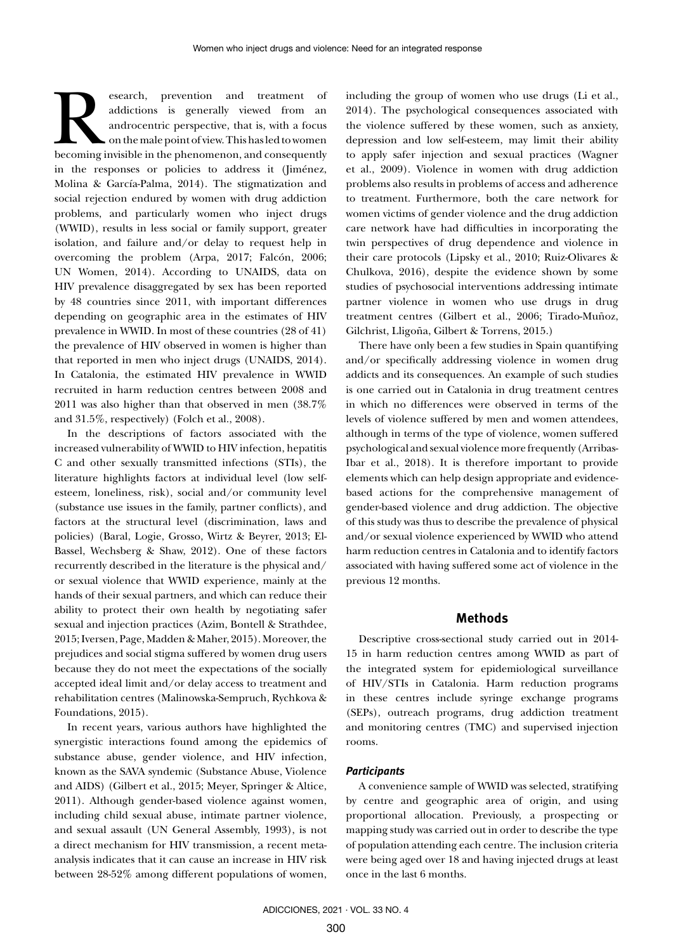Examples and the treatment of addictions is generally viewed from an androcentric perspective, that is, with a focus on the male point of view. This has led to women becoming invisible in the phenomenon, and consequently addictions is generally viewed from an androcentric perspective, that is, with a focus on the male point of view. This has led to women in the responses or policies to address it (Jiménez, Molina & García-Palma, 2014). The stigmatization and social rejection endured by women with drug addiction problems, and particularly women who inject drugs (WWID), results in less social or family support, greater isolation, and failure and/or delay to request help in overcoming the problem (Arpa, 2017; Falcón, 2006; UN Women, 2014). According to UNAIDS, data on HIV prevalence disaggregated by sex has been reported by 48 countries since 2011, with important differences depending on geographic area in the estimates of HIV prevalence in WWID. In most of these countries (28 of 41) the prevalence of HIV observed in women is higher than that reported in men who inject drugs (UNAIDS, 2014). In Catalonia, the estimated HIV prevalence in WWID recruited in harm reduction centres between 2008 and 2011 was also higher than that observed in men (38.7% and 31.5%, respectively) (Folch et al., 2008).

In the descriptions of factors associated with the increased vulnerability of WWID to HIV infection, hepatitis C and other sexually transmitted infections (STIs), the literature highlights factors at individual level (low selfesteem, loneliness, risk), social and/or community level (substance use issues in the family, partner conflicts), and factors at the structural level (discrimination, laws and policies) (Baral, Logie, Grosso, Wirtz & Beyrer, 2013; El-Bassel, Wechsberg & Shaw, 2012). One of these factors recurrently described in the literature is the physical and/ or sexual violence that WWID experience, mainly at the hands of their sexual partners, and which can reduce their ability to protect their own health by negotiating safer sexual and injection practices (Azim, Bontell & Strathdee, 2015; Iversen, Page, Madden & Maher, 2015). Moreover, the prejudices and social stigma suffered by women drug users because they do not meet the expectations of the socially accepted ideal limit and/or delay access to treatment and rehabilitation centres (Malinowska-Sempruch, Rychkova & Foundations, 2015).

In recent years, various authors have highlighted the synergistic interactions found among the epidemics of substance abuse, gender violence, and HIV infection, known as the SAVA syndemic (Substance Abuse, Violence and AIDS) (Gilbert et al., 2015; Meyer, Springer & Altice, 2011). Although gender-based violence against women, including child sexual abuse, intimate partner violence, and sexual assault (UN General Assembly, 1993), is not a direct mechanism for HIV transmission, a recent metaanalysis indicates that it can cause an increase in HIV risk between 28-52% among different populations of women,

including the group of women who use drugs (Li et al., 2014). The psychological consequences associated with the violence suffered by these women, such as anxiety, depression and low self-esteem, may limit their ability to apply safer injection and sexual practices (Wagner et al., 2009). Violence in women with drug addiction problems also results in problems of access and adherence to treatment. Furthermore, both the care network for women victims of gender violence and the drug addiction care network have had difficulties in incorporating the twin perspectives of drug dependence and violence in their care protocols (Lipsky et al., 2010; Ruiz-Olivares & Chulkova, 2016), despite the evidence shown by some studies of psychosocial interventions addressing intimate partner violence in women who use drugs in drug treatment centres (Gilbert et al., 2006; Tirado-Muñoz, Gilchrist, Lligoña, Gilbert & Torrens, 2015.)

There have only been a few studies in Spain quantifying and/or specifically addressing violence in women drug addicts and its consequences. An example of such studies is one carried out in Catalonia in drug treatment centres in which no differences were observed in terms of the levels of violence suffered by men and women attendees, although in terms of the type of violence, women suffered psychological and sexual violence more frequently (Arribas-Ibar et al., 2018). It is therefore important to provide elements which can help design appropriate and evidencebased actions for the comprehensive management of gender-based violence and drug addiction. The objective of this study was thus to describe the prevalence of physical and/or sexual violence experienced by WWID who attend harm reduction centres in Catalonia and to identify factors associated with having suffered some act of violence in the previous 12 months.

# **Methods**

Descriptive cross-sectional study carried out in 2014- 15 in harm reduction centres among WWID as part of the integrated system for epidemiological surveillance of HIV/STIs in Catalonia. Harm reduction programs in these centres include syringe exchange programs (SEPs), outreach programs, drug addiction treatment and monitoring centres (TMC) and supervised injection rooms.

### *Participants*

A convenience sample of WWID was selected, stratifying by centre and geographic area of origin, and using proportional allocation. Previously, a prospecting or mapping study was carried out in order to describe the type of population attending each centre. The inclusion criteria were being aged over 18 and having injected drugs at least once in the last 6 months.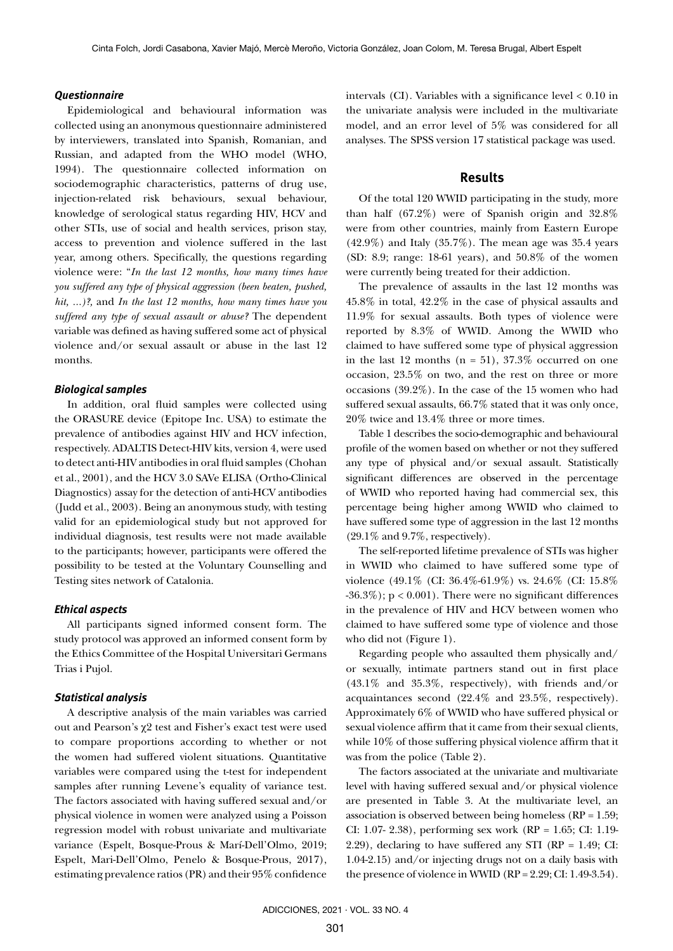#### *Questionnaire*

Epidemiological and behavioural information was collected using an anonymous questionnaire administered by interviewers, translated into Spanish, Romanian, and Russian, and adapted from the WHO model (WHO, 1994). The questionnaire collected information on sociodemographic characteristics, patterns of drug use, injection-related risk behaviours, sexual behaviour, knowledge of serological status regarding HIV, HCV and other STIs, use of social and health services, prison stay, access to prevention and violence suffered in the last year, among others. Specifically, the questions regarding violence were: "*In the last 12 months, how many times have you suffered any type of physical aggression (been beaten, pushed, hit, ...)?,* and *In the last 12 months, how many times have you suffered any type of sexual assault or abuse?* The dependent variable was defined as having suffered some act of physical violence and/or sexual assault or abuse in the last 12 months.

#### *Biological samples*

In addition, oral fluid samples were collected using the ORASURE device (Epitope Inc. USA) to estimate the prevalence of antibodies against HIV and HCV infection, respectively. ADALTIS Detect-HIV kits, version 4, were used to detect anti-HIV antibodies in oral fluid samples (Chohan et al., 2001), and the HCV 3.0 SAVe ELISA (Ortho-Clinical Diagnostics) assay for the detection of anti-HCV antibodies (Judd et al., 2003). Being an anonymous study, with testing valid for an epidemiological study but not approved for individual diagnosis, test results were not made available to the participants; however, participants were offered the possibility to be tested at the Voluntary Counselling and Testing sites network of Catalonia.

#### *Ethical aspects*

All participants signed informed consent form. The study protocol was approved an informed consent form by the Ethics Committee of the Hospital Universitari Germans Trias i Pujol.

#### *Statistical analysis*

A descriptive analysis of the main variables was carried out and Pearson's χ2 test and Fisher's exact test were used to compare proportions according to whether or not the women had suffered violent situations. Quantitative variables were compared using the t-test for independent samples after running Levene's equality of variance test. The factors associated with having suffered sexual and/or physical violence in women were analyzed using a Poisson regression model with robust univariate and multivariate variance (Espelt, Bosque-Prous & Marí-Dell'Olmo, 2019; Espelt, Mari-Dell'Olmo, Penelo & Bosque-Prous, 2017), estimating prevalence ratios (PR) and their 95% confidence

intervals (CI). Variables with a significance level  $< 0.10$  in the univariate analysis were included in the multivariate model, and an error level of 5% was considered for all analyses. The SPSS version 17 statistical package was used.

#### **Results**

Of the total 120 WWID participating in the study, more than half (67.2%) were of Spanish origin and 32.8% were from other countries, mainly from Eastern Europe  $(42.9\%)$  and Italy  $(35.7\%)$ . The mean age was 35.4 years (SD: 8.9; range: 18-61 years), and 50.8% of the women were currently being treated for their addiction.

The prevalence of assaults in the last 12 months was 45.8% in total, 42.2% in the case of physical assaults and 11.9% for sexual assaults. Both types of violence were reported by 8.3% of WWID. Among the WWID who claimed to have suffered some type of physical aggression in the last 12 months  $(n = 51)$ , 37.3% occurred on one occasion, 23.5% on two, and the rest on three or more occasions (39.2%). In the case of the 15 women who had suffered sexual assaults, 66.7% stated that it was only once, 20% twice and 13.4% three or more times.

Table 1 describes the socio-demographic and behavioural profile of the women based on whether or not they suffered any type of physical and/or sexual assault. Statistically significant differences are observed in the percentage of WWID who reported having had commercial sex, this percentage being higher among WWID who claimed to have suffered some type of aggression in the last 12 months (29.1% and 9.7%, respectively).

The self-reported lifetime prevalence of STIs was higher in WWID who claimed to have suffered some type of violence (49.1% (CI: 36.4%-61.9%) vs. 24.6% (CI: 15.8%  $-36.3\%$ ; p < 0.001). There were no significant differences in the prevalence of HIV and HCV between women who claimed to have suffered some type of violence and those who did not (Figure 1).

Regarding people who assaulted them physically and/ or sexually, intimate partners stand out in first place (43.1% and 35.3%, respectively), with friends and/or acquaintances second (22.4% and 23.5%, respectively). Approximately 6% of WWID who have suffered physical or sexual violence affirm that it came from their sexual clients, while 10% of those suffering physical violence affirm that it was from the police (Table 2).

The factors associated at the univariate and multivariate level with having suffered sexual and/or physical violence are presented in Table 3. At the multivariate level, an association is observed between being homeless (RP = 1.59; CI: 1.07- 2.38), performing sex work (RP = 1.65; CI: 1.19- 2.29), declaring to have suffered any STI (RP = 1.49; CI: 1.04-2.15) and/or injecting drugs not on a daily basis with the presence of violence in WWID  $(RP = 2.29; CI: 1.49-3.54)$ .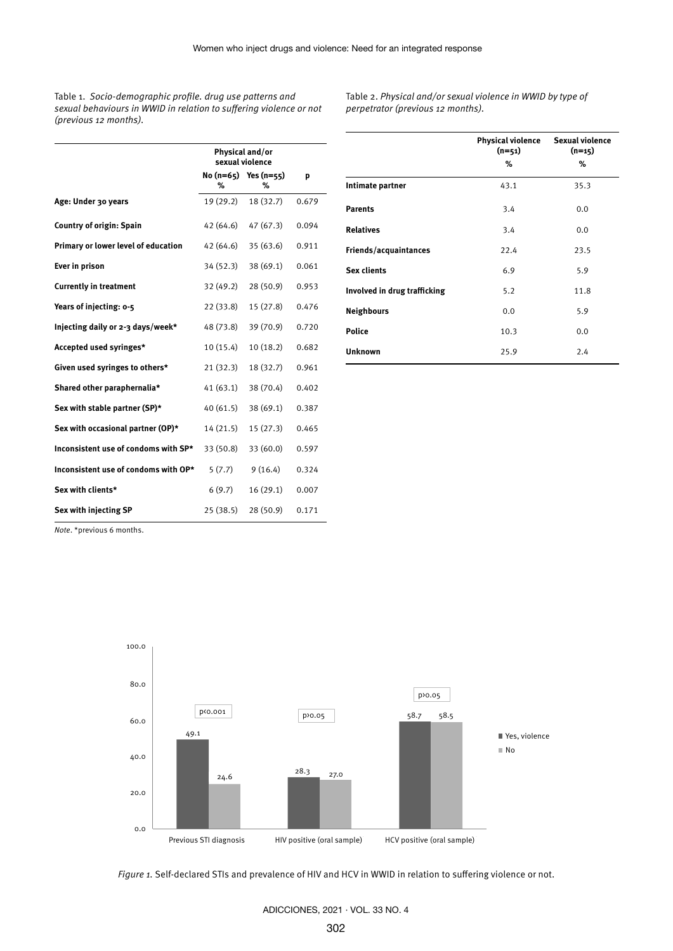Table 1. *Socio-demographic profile. drug use patterns and sexual behaviours in WWID in relation to suffering violence or not (previous 12 months).*

Table 2. *Physical and/or sexual violence in WWID by type of perpetrator (previous 12 months).*

|                                      | Physical and/or<br>sexual violence |                              |       |
|--------------------------------------|------------------------------------|------------------------------|-------|
|                                      | ℅                                  | $No(n=65)$ Yes $(n=55)$<br>% | р     |
| Age: Under 30 years                  | 19 (29.2)                          | 18 (32.7)                    | 0.679 |
| <b>Country of origin: Spain</b>      | 42 (64.6)                          | 47(67.3)                     | 0.094 |
| Primary or lower level of education  | 42 (64.6)                          | 35 (63.6)                    | 0.911 |
| Ever in prison                       | 34 (52.3)                          | 38 (69.1)                    | 0.061 |
| <b>Currently in treatment</b>        | 32 (49.2)                          | 28(50.9)                     | 0.953 |
| Years of injecting: 0-5              | 22 (33.8)                          | 15(27.8)                     | 0.476 |
| Injecting daily or 2-3 days/week*    | 48 (73.8)                          | 39 (70.9)                    | 0.720 |
| Accepted used syringes*              | 10(15.4)                           | 10(18.2)                     | 0.682 |
| Given used syringes to others*       | 21(32.3)                           | 18 (32.7)                    | 0.961 |
| Shared other paraphernalia*          | 41(63.1)                           | 38 (70.4)                    | 0.402 |
| Sex with stable partner (SP)*        | 40(61.5)                           | 38 (69.1)                    | 0.387 |
| Sex with occasional partner (OP)*    | 14 (21.5)                          | 15 (27.3)                    | 0.465 |
| Inconsistent use of condoms with SP* | 33 (50.8)                          | 33 (60.0)                    | 0.597 |
| Inconsistent use of condoms with OP* | 5(7.7)                             | 9(16.4)                      | 0.324 |
| Sex with clients*                    | 6(9.7)                             | 16 (29.1)                    | 0.007 |
| Sex with injecting SP                | 25(38.5)                           | 28 (50.9)                    | 0.171 |

|                              | <b>Physical violence</b><br>$(n=51)$ | <b>Sexual violence</b><br>$(n=15)$ |  |
|------------------------------|--------------------------------------|------------------------------------|--|
|                              | %                                    | %                                  |  |
| Intimate partner             | 43.1                                 | 35.3                               |  |
| <b>Parents</b>               | 3.4                                  | 0.0                                |  |
| <b>Relatives</b>             | 3.4                                  | 0.0                                |  |
| Friends/acquaintances        | 22.4                                 | 23.5                               |  |
| <b>Sex clients</b>           | 6.9                                  | 5.9                                |  |
| Involved in drug trafficking | 5.2                                  | 11.8                               |  |
| <b>Neighbours</b>            | 0.0                                  | 5.9                                |  |
| <b>Police</b>                | 10.3                                 | 0.0                                |  |
| <b>Unknown</b>               | 25.9                                 | 2.4                                |  |

*Note*. \*previous 6 months.



*Figure 1.* Self-declared STIs and prevalence of HIV and HCV in WWID in relation to suffering violence or not.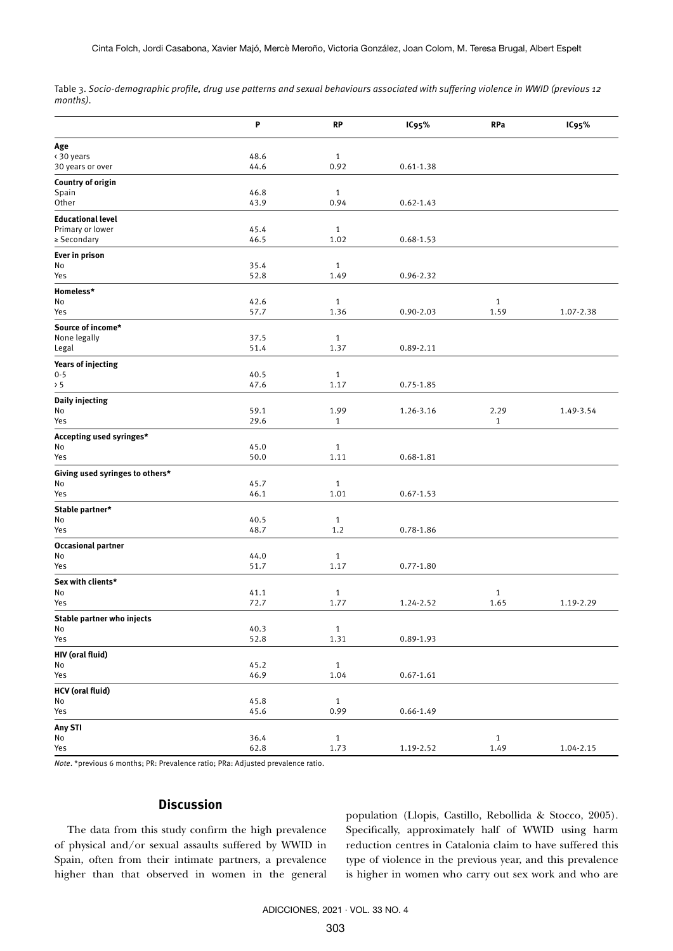Table 3. *Socio-demographic profile, drug use patterns and sexual behaviours associated with suffering violence in WWID (previous 12 months).*

|                                 | P    | <b>RP</b>    | IC95%         | <b>RPa</b>   | IC95%     |
|---------------------------------|------|--------------|---------------|--------------|-----------|
| Age                             |      |              |               |              |           |
| < 30 years                      | 48.6 | $\mathbf{1}$ |               |              |           |
| 30 years or over                | 44.6 | 0.92         | $0.61 - 1.38$ |              |           |
| Country of origin               |      |              |               |              |           |
| Spain                           | 46.8 | $\mathbf{1}$ |               |              |           |
| Other                           | 43.9 | 0.94         | $0.62 - 1.43$ |              |           |
| <b>Educational level</b>        |      |              |               |              |           |
| Primary or lower                | 45.4 | $1\,$        |               |              |           |
| ≥ Secondary                     | 46.5 | 1.02         | $0.68 - 1.53$ |              |           |
|                                 |      |              |               |              |           |
| Ever in prison                  |      |              |               |              |           |
| No                              | 35.4 | $\mathbf{1}$ |               |              |           |
| Yes                             | 52.8 | 1.49         | 0.96-2.32     |              |           |
| Homeless*                       |      |              |               |              |           |
| No                              | 42.6 | $\mathbf{1}$ |               | $\mathbf{1}$ |           |
| Yes                             | 57.7 | 1.36         | $0.90 - 2.03$ | 1.59         | 1.07-2.38 |
| Source of income*               |      |              |               |              |           |
| None legally                    | 37.5 | $\mathbf 1$  |               |              |           |
| Legal                           | 51.4 | 1.37         | $0.89 - 2.11$ |              |           |
| <b>Years of injecting</b>       |      |              |               |              |           |
| $0 - 5$                         | 40.5 | $1\,$        |               |              |           |
| > 5                             | 47.6 | 1.17         | $0.75 - 1.85$ |              |           |
|                                 |      |              |               |              |           |
| Daily injecting                 |      |              |               |              |           |
| No                              | 59.1 | 1.99         | 1.26-3.16     | 2.29         | 1.49-3.54 |
| Yes                             | 29.6 | $\mathbf{1}$ |               | 1            |           |
| Accepting used syringes*        |      |              |               |              |           |
| No                              | 45.0 | $1\,$        |               |              |           |
| Yes                             | 50.0 | 1.11         | 0.68-1.81     |              |           |
| Giving used syringes to others* |      |              |               |              |           |
| No                              | 45.7 | $\mathbf{1}$ |               |              |           |
| Yes                             | 46.1 | 1.01         | $0.67 - 1.53$ |              |           |
| Stable partner*                 |      |              |               |              |           |
| No                              | 40.5 | $\mathbf{1}$ |               |              |           |
| Yes                             | 48.7 | 1.2          | 0.78-1.86     |              |           |
|                                 |      |              |               |              |           |
| <b>Occasional partner</b><br>No | 44.0 | $\mathbf{1}$ |               |              |           |
| Yes                             | 51.7 | 1.17         | $0.77 - 1.80$ |              |           |
|                                 |      |              |               |              |           |
| Sex with clients*               |      |              |               |              |           |
| No                              | 41.1 | $\mathbf{1}$ |               | $\mathbf{1}$ |           |
| Yes                             | 72.7 | 1.77         | 1.24-2.52     | 1.65         | 1.19-2.29 |
| Stable partner who injects      |      |              |               |              |           |
| No                              | 40.3 | $\mathbf{1}$ |               |              |           |
| Yes                             | 52.8 | 1.31         | 0.89-1.93     |              |           |
| HIV (oral fluid)                |      |              |               |              |           |
| No                              | 45.2 | $\mathbf{1}$ |               |              |           |
| Yes                             | 46.9 | 1.04         | $0.67 - 1.61$ |              |           |
| <b>HCV</b> (oral fluid)         |      |              |               |              |           |
| No                              | 45.8 | $\mathbf{1}$ |               |              |           |
| Yes                             | 45.6 | 0.99         | $0.66 - 1.49$ |              |           |
|                                 |      |              |               |              |           |
| Any STI<br>No                   | 36.4 | $1\,$        |               | $\mathbf{1}$ |           |
| Yes                             | 62.8 | 1.73         | 1.19-2.52     | 1.49         | 1.04-2.15 |
|                                 |      |              |               |              |           |

*Note*. \*previous 6 months; PR: Prevalence ratio; PRa: Adjusted prevalence ratio.

# **Discussion**

The data from this study confirm the high prevalence of physical and/or sexual assaults suffered by WWID in Spain, often from their intimate partners, a prevalence higher than that observed in women in the general population (Llopis, Castillo, Rebollida & Stocco, 2005). Specifically, approximately half of WWID using harm reduction centres in Catalonia claim to have suffered this type of violence in the previous year, and this prevalence is higher in women who carry out sex work and who are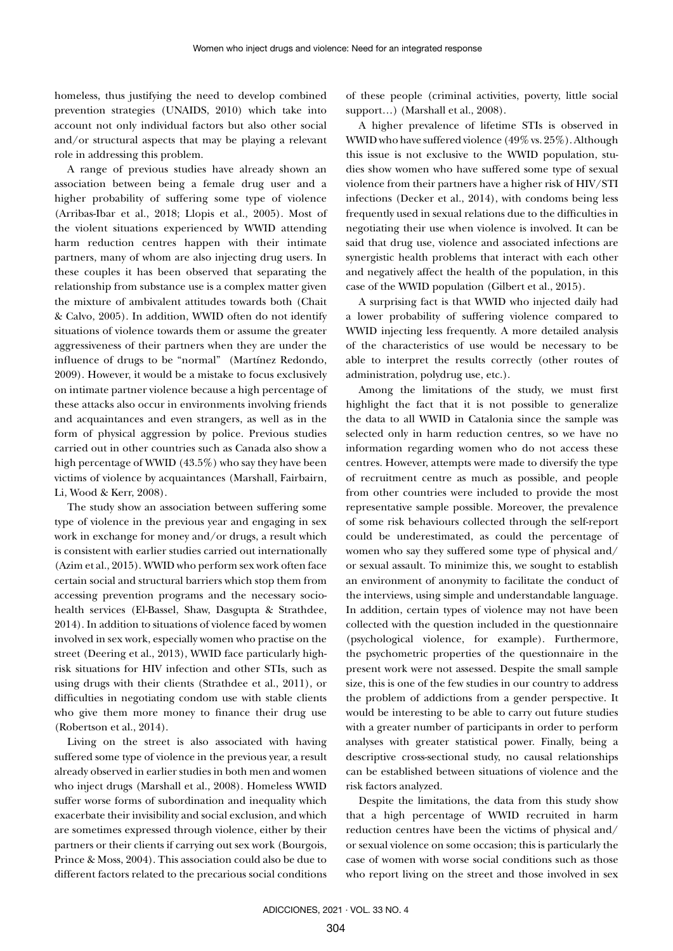homeless, thus justifying the need to develop combined prevention strategies (UNAIDS, 2010) which take into account not only individual factors but also other social and/or structural aspects that may be playing a relevant role in addressing this problem.

A range of previous studies have already shown an association between being a female drug user and a higher probability of suffering some type of violence (Arribas-Ibar et al., 2018; Llopis et al., 2005). Most of the violent situations experienced by WWID attending harm reduction centres happen with their intimate partners, many of whom are also injecting drug users. In these couples it has been observed that separating the relationship from substance use is a complex matter given the mixture of ambivalent attitudes towards both (Chait & Calvo, 2005). In addition, WWID often do not identify situations of violence towards them or assume the greater aggressiveness of their partners when they are under the influence of drugs to be "normal" (Martínez Redondo, 2009). However, it would be a mistake to focus exclusively on intimate partner violence because a high percentage of these attacks also occur in environments involving friends and acquaintances and even strangers, as well as in the form of physical aggression by police. Previous studies carried out in other countries such as Canada also show a high percentage of WWID (43.5%) who say they have been victims of violence by acquaintances (Marshall, Fairbairn, Li, Wood & Kerr, 2008).

The study show an association between suffering some type of violence in the previous year and engaging in sex work in exchange for money and/or drugs, a result which is consistent with earlier studies carried out internationally (Azim et al., 2015). WWID who perform sex work often face certain social and structural barriers which stop them from accessing prevention programs and the necessary sociohealth services (El-Bassel, Shaw, Dasgupta & Strathdee, 2014). In addition to situations of violence faced by women involved in sex work, especially women who practise on the street (Deering et al., 2013), WWID face particularly highrisk situations for HIV infection and other STIs, such as using drugs with their clients (Strathdee et al., 2011), or difficulties in negotiating condom use with stable clients who give them more money to finance their drug use (Robertson et al., 2014).

Living on the street is also associated with having suffered some type of violence in the previous year, a result already observed in earlier studies in both men and women who inject drugs (Marshall et al., 2008). Homeless WWID suffer worse forms of subordination and inequality which exacerbate their invisibility and social exclusion, and which are sometimes expressed through violence, either by their partners or their clients if carrying out sex work (Bourgois, Prince & Moss, 2004). This association could also be due to different factors related to the precarious social conditions of these people (criminal activities, poverty, little social support...) (Marshall et al., 2008).

A higher prevalence of lifetime STIs is observed in WWID who have suffered violence (49% vs. 25%). Although this issue is not exclusive to the WWID population, studies show women who have suffered some type of sexual violence from their partners have a higher risk of HIV/STI infections (Decker et al., 2014), with condoms being less frequently used in sexual relations due to the difficulties in negotiating their use when violence is involved. It can be said that drug use, violence and associated infections are synergistic health problems that interact with each other and negatively affect the health of the population, in this case of the WWID population (Gilbert et al., 2015).

A surprising fact is that WWID who injected daily had a lower probability of suffering violence compared to WWID injecting less frequently. A more detailed analysis of the characteristics of use would be necessary to be able to interpret the results correctly (other routes of administration, polydrug use, etc.).

Among the limitations of the study, we must first highlight the fact that it is not possible to generalize the data to all WWID in Catalonia since the sample was selected only in harm reduction centres, so we have no information regarding women who do not access these centres. However, attempts were made to diversify the type of recruitment centre as much as possible, and people from other countries were included to provide the most representative sample possible. Moreover, the prevalence of some risk behaviours collected through the self-report could be underestimated, as could the percentage of women who say they suffered some type of physical and/ or sexual assault. To minimize this, we sought to establish an environment of anonymity to facilitate the conduct of the interviews, using simple and understandable language. In addition, certain types of violence may not have been collected with the question included in the questionnaire (psychological violence, for example). Furthermore, the psychometric properties of the questionnaire in the present work were not assessed. Despite the small sample size, this is one of the few studies in our country to address the problem of addictions from a gender perspective. It would be interesting to be able to carry out future studies with a greater number of participants in order to perform analyses with greater statistical power. Finally, being a descriptive cross-sectional study, no causal relationships can be established between situations of violence and the risk factors analyzed.

Despite the limitations, the data from this study show that a high percentage of WWID recruited in harm reduction centres have been the victims of physical and/ or sexual violence on some occasion; this is particularly the case of women with worse social conditions such as those who report living on the street and those involved in sex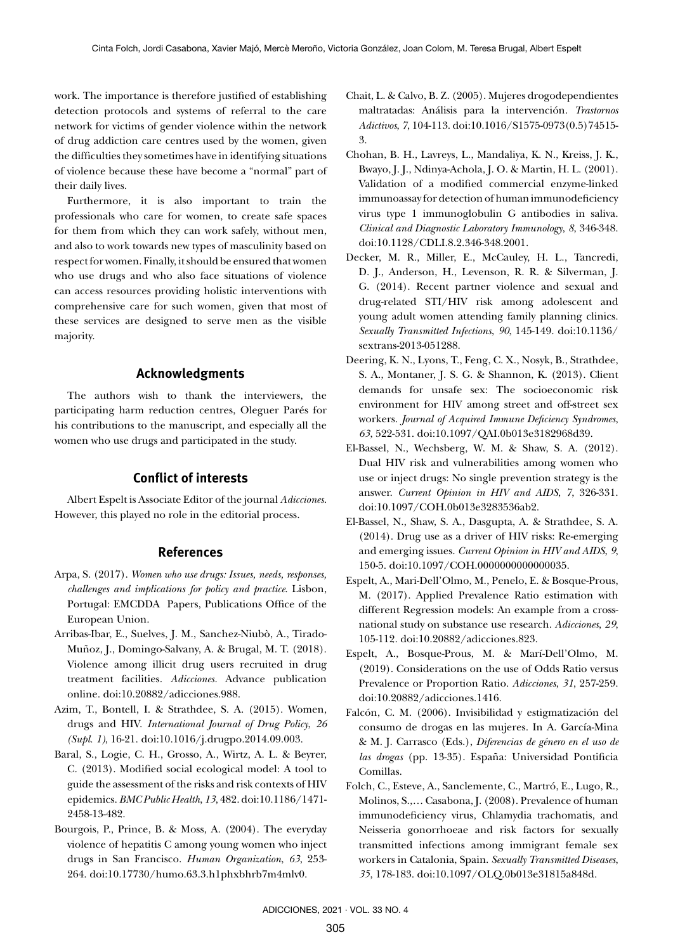work. The importance is therefore justified of establishing detection protocols and systems of referral to the care network for victims of gender violence within the network of drug addiction care centres used by the women, given the difficulties they sometimes have in identifying situations of violence because these have become a "normal" part of their daily lives.

Furthermore, it is also important to train the professionals who care for women, to create safe spaces for them from which they can work safely, without men, and also to work towards new types of masculinity based on respect for women. Finally, it should be ensured that women who use drugs and who also face situations of violence can access resources providing holistic interventions with comprehensive care for such women, given that most of these services are designed to serve men as the visible majority.

# **Acknowledgments**

The authors wish to thank the interviewers, the participating harm reduction centres, Oleguer Parés for his contributions to the manuscript, and especially all the women who use drugs and participated in the study.

# **Conflict of interests**

Albert Espelt is Associate Editor of the journal *Adicciones*. However, this played no role in the editorial process.

## **References**

- Arpa, S. (2017). *Women who use drugs: Issues, needs, responses, challenges and implications for policy and practice*. Lisbon, Portugal: EMCDDA Papers, Publications Office of the European Union.
- Arribas-Ibar, E., Suelves, J. M., Sanchez-Niubò, A., Tirado-Muñoz, J., Domingo-Salvany, A. & Brugal, M. T. (2018). Violence among illicit drug users recruited in drug treatment facilities. *Adicciones.* Advance publication online. doi:10.20882/adicciones.988.
- Azim, T., Bontell, I. & Strathdee, S. A. (2015). Women, drugs and HIV. *International Journal of Drug Policy*, *26 (Supl. 1)*, 16-21. doi:10.1016/j.drugpo.2014.09.003.
- Baral, S., Logie, C. H., Grosso, A., Wirtz, A. L. & Beyrer, C. (2013). Modified social ecological model: A tool to guide the assessment of the risks and risk contexts of HIV epidemics. *BMC Public Health*, *13*, 482. doi:10.1186/1471- 2458-13-482.
- Bourgois, P., Prince, B. & Moss, A. (2004). The everyday violence of hepatitis C among young women who inject drugs in San Francisco. *Human Organization*, *63*, 253- 264. doi:10.17730/humo.63.3.h1phxbhrb7m4mlv0.
- Chait, L. & Calvo, B. Z. (2005). Mujeres drogodependientes maltratadas: Análisis para la intervención. *Trastornos Adictivos*, *7*, 104-113. doi:10.1016/S1575-0973(0.5)74515- 3.
- Chohan, B. H., Lavreys, L., Mandaliya, K. N., Kreiss, J. K., Bwayo, J. J., Ndinya-Achola, J. O. & Martin, H. L. (2001). Validation of a modified commercial enzyme-linked immunoassay for detection of human immunodeficiency virus type 1 immunoglobulin G antibodies in saliva. *Clinical and Diagnostic Laboratory Immunology*, *8*, 346-348. doi:10.1128/CDLI.8.2.346-348.2001.
- Decker, M. R., Miller, E., McCauley, H. L., Tancredi, D. J., Anderson, H., Levenson, R. R. & Silverman, J. G. (2014). Recent partner violence and sexual and drug-related STI/HIV risk among adolescent and young adult women attending family planning clinics. *Sexually Transmitted Infections*, *90*, 145-149. doi:10.1136/ sextrans-2013-051288.
- Deering, K. N., Lyons, T., Feng, C. X., Nosyk, B., Strathdee, S. A., Montaner, J. S. G. & Shannon, K. (2013). Client demands for unsafe sex: The socioeconomic risk environment for HIV among street and off-street sex workers. *Journal of Acquired Immune Deficiency Syndromes*, *63*, 522-531. doi:10.1097/QAI.0b013e3182968d39.
- El-Bassel, N., Wechsberg, W. M. & Shaw, S. A. (2012). Dual HIV risk and vulnerabilities among women who use or inject drugs: No single prevention strategy is the answer. *Current Opinion in HIV and AIDS*, *7*, 326-331. doi:10.1097/COH.0b013e3283536ab2.
- El-Bassel, N., Shaw, S. A., Dasgupta, A. & Strathdee, S. A. (2014). Drug use as a driver of HIV risks: Re-emerging and emerging issues. *Current Opinion in HIV and AIDS*, *9*, 150-5. doi:10.1097/COH.0000000000000035.
- Espelt, A., Mari-Dell'Olmo, M., Penelo, E. & Bosque-Prous, M. (2017). Applied Prevalence Ratio estimation with different Regression models: An example from a crossnational study on substance use research. *Adicciones*, *29*, 105-112. doi:10.20882/adicciones.823.
- Espelt, A., Bosque-Prous, M. & Marí-Dell'Olmo, M. (2019). Considerations on the use of Odds Ratio versus Prevalence or Proportion Ratio. *Adicciones*, *31*, 257-259. doi:10.20882/adicciones.1416.
- Falcón, C. M. (2006). Invisibilidad y estigmatización del consumo de drogas en las mujeres. In A. García-Mina & M. J. Carrasco (Eds.), *Diferencias de género en el uso de las drogas* (pp. 13-35). España: Universidad Pontificia Comillas.
- Folch, C., Esteve, A., Sanclemente, C., Martró, E., Lugo, R., Molinos, S.,… Casabona, J. (2008). Prevalence of human immunodeficiency virus, Chlamydia trachomatis, and Neisseria gonorrhoeae and risk factors for sexually transmitted infections among immigrant female sex workers in Catalonia, Spain. *Sexually Transmitted Diseases*, *35*, 178-183. doi:10.1097/OLQ.0b013e31815a848d.